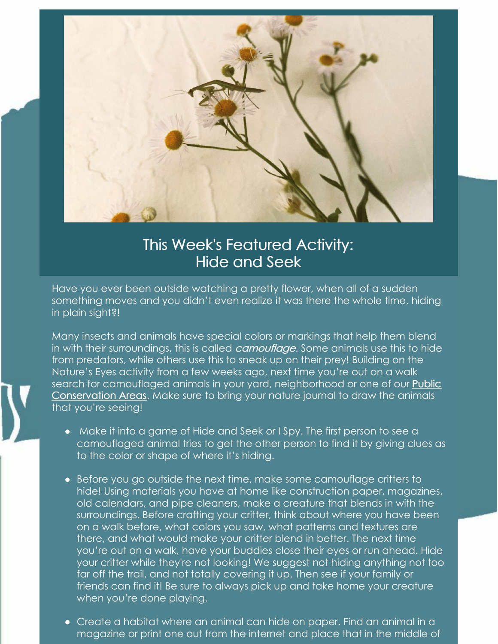

## This Week's Featured Activity: Hide and Seek

Have you ever been outside watching a pretty flower, when all of a sudden something moves and you didn't even realize it was there the whole time, hiding in plain sight?!

Many insects and animals have special colors or markings that help them blend in with their surroundings, this is called *camouflage*. Some animals use this to hide from predators, while others use this to sneak up on their prey! Building on the Nature's Eyes activity from a few weeks ago, next time you're out on a walk search for camouflaged animals in your yard, [neighborhood](https://clctrust.org/public-conservation-areas/about-our-sites/) or one of our **Public** Conservation Areas. Make sure to bring your nature journal to draw the animals that you're seeing!

- Make it into a game of Hide and Seek or I Spy. The first person to see a camouflaged animal tries to get the other person to find it by giving clues as to the color or shape of where it's hiding.
- Before you go outside the next time, make some camouflage critters to hide! Using materials you have at home like construction paper, magazines, old calendars, and pipe cleaners, make a creature that blends in with the surroundings. Before crafting your critter, think about where you have been on a walk before, what colors you saw, what patterns and textures are there, and what would make your critter blend in better. The next time you're out on a walk, have your buddies close their eyes or run ahead. Hide your critter while they're not looking! We suggest not hiding anything not too far off the trail, and not totally covering it up. Then see if your family or friends can find it! Be sure to always pick up and take home your creature when you're done playing.
- Create a habitat where an animal can hide on paper. Find an animal in a magazine or print one out from the internet and place that in the middle of